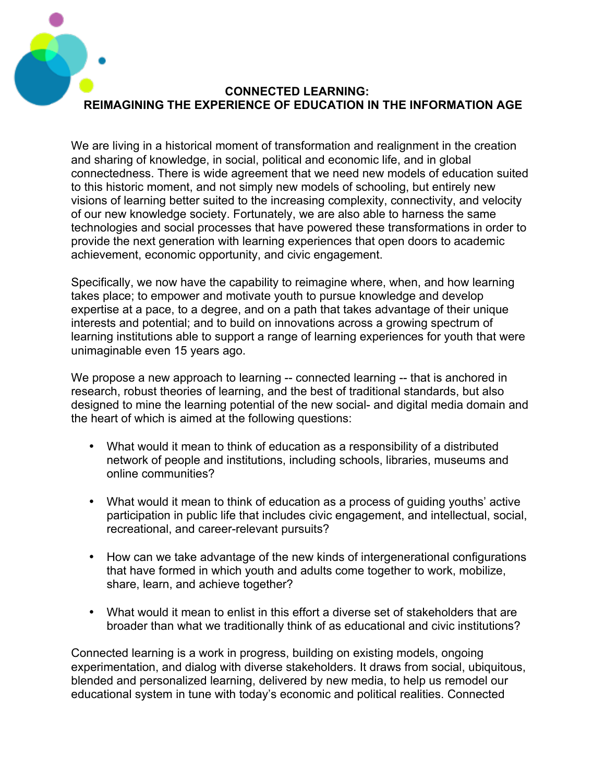

We are living in a historical moment of transformation and realignment in the creation and sharing of knowledge, in social, political and economic life, and in global connectedness. There is wide agreement that we need new models of education suited to this historic moment, and not simply new models of schooling, but entirely new visions of learning better suited to the increasing complexity, connectivity, and velocity of our new knowledge society. Fortunately, we are also able to harness the same technologies and social processes that have powered these transformations in order to provide the next generation with learning experiences that open doors to academic achievement, economic opportunity, and civic engagement.

Specifically, we now have the capability to reimagine where, when, and how learning takes place; to empower and motivate youth to pursue knowledge and develop expertise at a pace, to a degree, and on a path that takes advantage of their unique interests and potential; and to build on innovations across a growing spectrum of learning institutions able to support a range of learning experiences for youth that were unimaginable even 15 years ago.

We propose a new approach to learning -- connected learning -- that is anchored in research, robust theories of learning, and the best of traditional standards, but also designed to mine the learning potential of the new social- and digital media domain and the heart of which is aimed at the following questions:

- What would it mean to think of education as a responsibility of a distributed network of people and institutions, including schools, libraries, museums and online communities?
- What would it mean to think of education as a process of guiding youths' active participation in public life that includes civic engagement, and intellectual, social, recreational, and career-relevant pursuits?
- How can we take advantage of the new kinds of intergenerational configurations that have formed in which youth and adults come together to work, mobilize, share, learn, and achieve together?
- What would it mean to enlist in this effort a diverse set of stakeholders that are broader than what we traditionally think of as educational and civic institutions?

Connected learning is a work in progress, building on existing models, ongoing experimentation, and dialog with diverse stakeholders. It draws from social, ubiquitous, blended and personalized learning, delivered by new media, to help us remodel our educational system in tune with today's economic and political realities. Connected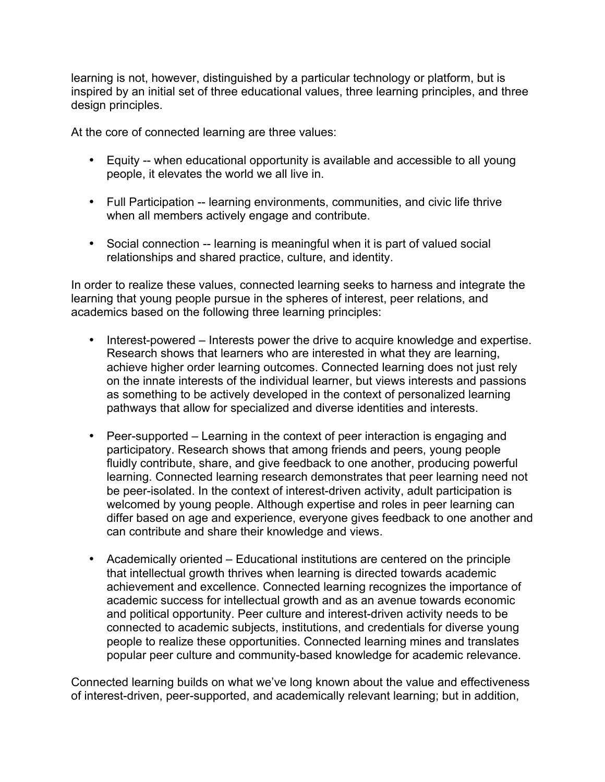learning is not, however, distinguished by a particular technology or platform, but is inspired by an initial set of three educational values, three learning principles, and three design principles.

At the core of connected learning are three values:

- Equity -- when educational opportunity is available and accessible to all young people, it elevates the world we all live in.
- Full Participation -- learning environments, communities, and civic life thrive when all members actively engage and contribute.
- Social connection -- learning is meaningful when it is part of valued social relationships and shared practice, culture, and identity.

In order to realize these values, connected learning seeks to harness and integrate the learning that young people pursue in the spheres of interest, peer relations, and academics based on the following three learning principles:

- Interest-powered Interests power the drive to acquire knowledge and expertise. Research shows that learners who are interested in what they are learning, achieve higher order learning outcomes. Connected learning does not just rely on the innate interests of the individual learner, but views interests and passions as something to be actively developed in the context of personalized learning pathways that allow for specialized and diverse identities and interests.
- Peer-supported Learning in the context of peer interaction is engaging and participatory. Research shows that among friends and peers, young people fluidly contribute, share, and give feedback to one another, producing powerful learning. Connected learning research demonstrates that peer learning need not be peer-isolated. In the context of interest-driven activity, adult participation is welcomed by young people. Although expertise and roles in peer learning can differ based on age and experience, everyone gives feedback to one another and can contribute and share their knowledge and views.
- Academically oriented Educational institutions are centered on the principle that intellectual growth thrives when learning is directed towards academic achievement and excellence. Connected learning recognizes the importance of academic success for intellectual growth and as an avenue towards economic and political opportunity. Peer culture and interest-driven activity needs to be connected to academic subjects, institutions, and credentials for diverse young people to realize these opportunities. Connected learning mines and translates popular peer culture and community-based knowledge for academic relevance.

Connected learning builds on what we've long known about the value and effectiveness of interest-driven, peer-supported, and academically relevant learning; but in addition,